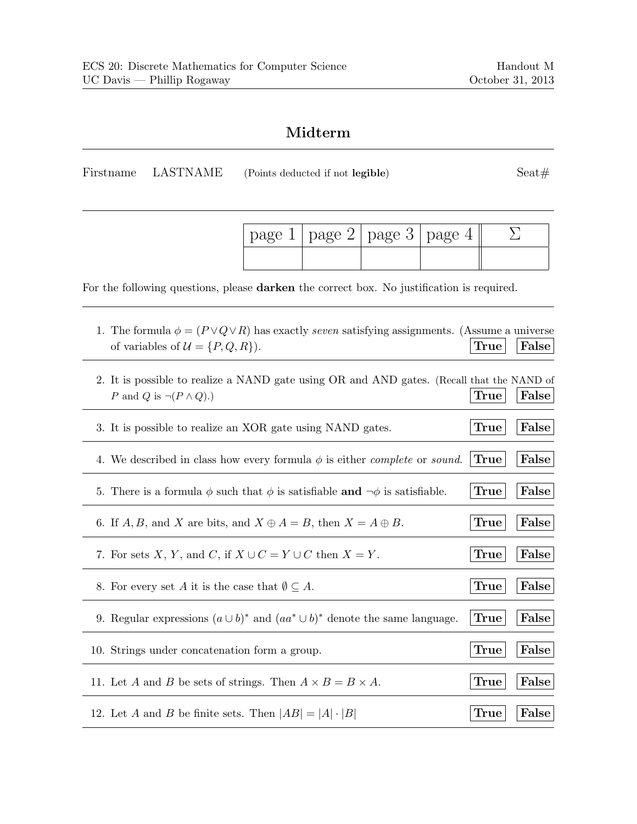## **Midterm**

Firstname LASTNAME (Points deducted if not **legible**) Seat#

| page 1 | page 2                                        | page 3                                                                                                                                                                           | page 4                                                                                                                                                                                                                                                                               |                                                                                                                                                                                                                                                                                        | $\sum$                                                                                                                                                                                                                                                                                                                                                                                                                                                                        |
|--------|-----------------------------------------------|----------------------------------------------------------------------------------------------------------------------------------------------------------------------------------|--------------------------------------------------------------------------------------------------------------------------------------------------------------------------------------------------------------------------------------------------------------------------------------|----------------------------------------------------------------------------------------------------------------------------------------------------------------------------------------------------------------------------------------------------------------------------------------|-------------------------------------------------------------------------------------------------------------------------------------------------------------------------------------------------------------------------------------------------------------------------------------------------------------------------------------------------------------------------------------------------------------------------------------------------------------------------------|
|        |                                               |                                                                                                                                                                                  |                                                                                                                                                                                                                                                                                      |                                                                                                                                                                                                                                                                                        |                                                                                                                                                                                                                                                                                                                                                                                                                                                                               |
|        |                                               |                                                                                                                                                                                  |                                                                                                                                                                                                                                                                                      |                                                                                                                                                                                                                                                                                        |                                                                                                                                                                                                                                                                                                                                                                                                                                                                               |
|        |                                               |                                                                                                                                                                                  |                                                                                                                                                                                                                                                                                      |                                                                                                                                                                                                                                                                                        | False                                                                                                                                                                                                                                                                                                                                                                                                                                                                         |
|        |                                               |                                                                                                                                                                                  |                                                                                                                                                                                                                                                                                      |                                                                                                                                                                                                                                                                                        | False                                                                                                                                                                                                                                                                                                                                                                                                                                                                         |
|        |                                               |                                                                                                                                                                                  |                                                                                                                                                                                                                                                                                      |                                                                                                                                                                                                                                                                                        | False                                                                                                                                                                                                                                                                                                                                                                                                                                                                         |
|        |                                               |                                                                                                                                                                                  |                                                                                                                                                                                                                                                                                      |                                                                                                                                                                                                                                                                                        | False                                                                                                                                                                                                                                                                                                                                                                                                                                                                         |
|        |                                               |                                                                                                                                                                                  |                                                                                                                                                                                                                                                                                      |                                                                                                                                                                                                                                                                                        | False                                                                                                                                                                                                                                                                                                                                                                                                                                                                         |
|        |                                               |                                                                                                                                                                                  |                                                                                                                                                                                                                                                                                      |                                                                                                                                                                                                                                                                                        | False                                                                                                                                                                                                                                                                                                                                                                                                                                                                         |
|        |                                               |                                                                                                                                                                                  |                                                                                                                                                                                                                                                                                      |                                                                                                                                                                                                                                                                                        | False                                                                                                                                                                                                                                                                                                                                                                                                                                                                         |
|        |                                               |                                                                                                                                                                                  |                                                                                                                                                                                                                                                                                      |                                                                                                                                                                                                                                                                                        | False                                                                                                                                                                                                                                                                                                                                                                                                                                                                         |
|        |                                               |                                                                                                                                                                                  |                                                                                                                                                                                                                                                                                      |                                                                                                                                                                                                                                                                                        | False                                                                                                                                                                                                                                                                                                                                                                                                                                                                         |
|        |                                               |                                                                                                                                                                                  |                                                                                                                                                                                                                                                                                      |                                                                                                                                                                                                                                                                                        | False                                                                                                                                                                                                                                                                                                                                                                                                                                                                         |
|        |                                               |                                                                                                                                                                                  |                                                                                                                                                                                                                                                                                      |                                                                                                                                                                                                                                                                                        | False                                                                                                                                                                                                                                                                                                                                                                                                                                                                         |
|        |                                               |                                                                                                                                                                                  |                                                                                                                                                                                                                                                                                      |                                                                                                                                                                                                                                                                                        | False                                                                                                                                                                                                                                                                                                                                                                                                                                                                         |
|        | of variables of $\mathcal{U} = \{P, Q, R\}$ . | 8. For every set A it is the case that $\emptyset \subseteq A$ .<br>10. Strings under concatenation form a group.<br>12. Let A and B be finite sets. Then $ AB  =  A  \cdot  B $ | 3. It is possible to realize an XOR gate using NAND gates.<br>6. If A, B, and X are bits, and $X \oplus A = B$ , then $X = A \oplus B$ .<br>7. For sets X, Y, and C, if $X \cup C = Y \cup C$ then $X = Y$ .<br>11. Let A and B be sets of strings. Then $A \times B = B \times A$ . | 4. We described in class how every formula $\phi$ is either <i>complete</i> or <i>sound</i> .<br>5. There is a formula $\phi$ such that $\phi$ is satisfiable and $\neg \phi$ is satisfiable.<br>9. Regular expressions $(a \cup b)^*$ and $(aa^* \cup b)^*$ denote the same language. | For the following questions, please <b>darken</b> the correct box. No justification is required.<br>1. The formula $\phi = (P \vee Q \vee R)$ has exactly seven satisfying assignments. (Assume a universe<br>True<br>2. It is possible to realize a NAND gate using OR and AND gates. (Recall that the NAND of<br>True<br><b>True</b><br><b>True</b><br><b>True</b><br><b>True</b><br><b>True</b><br><b>True</b><br><b>True</b><br><b>True</b><br><b>True</b><br><b>True</b> |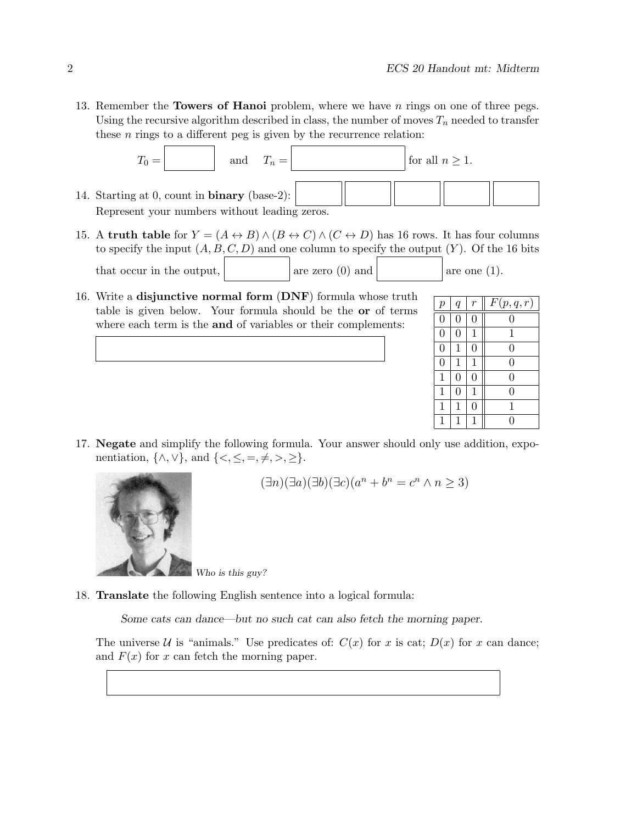13. Remember the **Towers of Hanoi** problem, where we have n rings on one of three pegs. Using the recursive algorithm described in class, the number of moves  $T_n$  needed to transfer these  $n$  rings to a different peg is given by the recurrence relation:



- 15. A **truth table** for  $Y = (A \leftrightarrow B) \land (B \leftrightarrow C) \land (C \leftrightarrow D)$  has 16 rows. It has four columns to specify the input  $(A, B, C, D)$  and one column to specify the output  $(Y)$ . Of the 16 bits that occur in the output,  $\vert$  are zero (0) and  $\vert$  are one (1).
- 16. Write a **disjunctive normal form** (**DNF**) formula whose truth table is given below. Your formula should be the **or** of terms where each term is the **and** of variables or their complements:

| $\boldsymbol{p}$ | $\boldsymbol{q}$ | r              | F(p,q,r)       |
|------------------|------------------|----------------|----------------|
| $\overline{0}$   | $\overline{0}$   | $\overline{0}$ | 0              |
| $\overline{0}$   | $\overline{0}$   | 1              | 1              |
| $\overline{0}$   | 1                | $\overline{0}$ | $\overline{0}$ |
| $\overline{0}$   | $\mathbf{1}$     | 1              | $\overline{0}$ |
| $\mathbf 1$      | $\overline{0}$   | $\overline{0}$ | 0              |
| 1                | 0                | 1              | 0              |
| 1                | 1                | $\overline{0}$ | $\mathbf{1}$   |
|                  |                  | 1              |                |

17. **Negate** and simplify the following formula. Your answer should only use addition, exponentiation,  $\{\wedge, \vee\}$ , and  $\{\leq, \leq, =, \neq, >, \geq\}.$ 



$$
(\exists n)(\exists a)(\exists b)(\exists c)(a^n + b^n = c^n \land n \ge 3)
$$

*Who is this guy?*

18. **Translate** the following English sentence into a logical formula:

*Some cats can dance—but no such cat can also fetch the morning paper.*

The universe U is "animals." Use predicates of:  $C(x)$  for x is cat;  $D(x)$  for x can dance; and  $F(x)$  for x can fetch the morning paper.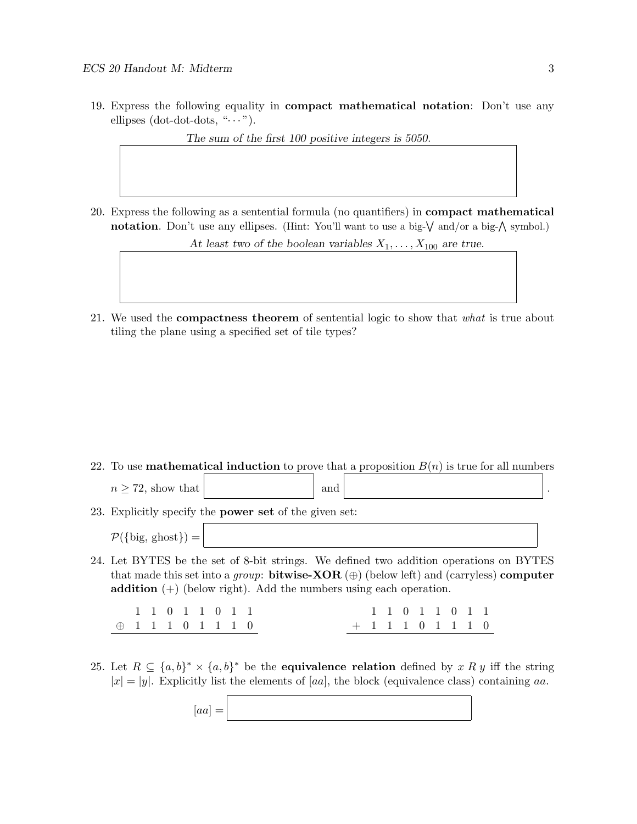19. Express the following equality in **compact mathematical notation**: Don't use any ellipses (dot-dot-dots, " $\cdots$ ").

*The sum of the first 100 positive integers is 5050.*

20. Express the following as a sentential formula (no quantifiers) in **compact mathematical notation**. Don't use any ellipses. (Hint: You'll want to use a big- $\sqrt{\ }$  and/or a big- $\wedge$  symbol.)

At least two of the boolean variables  $X_1, \ldots, X_{100}$  are true.

21. We used the **compactness theorem** of sentential logic to show that *what* is true about tiling the plane using a specified set of tile types?

22. To use **mathematical induction** to prove that a proposition  $B(n)$  is true for all numbers

| $n > 72$ , show that | and                                                      |  |
|----------------------|----------------------------------------------------------|--|
|                      | $\Gamma$ Further the theorem as of the sixes as $\Gamma$ |  |

23. Explicitly specify the **power set** of the given set:

 $\mathcal{P}({\text{big, ghost}}) =$ 

24. Let BYTES be the set of 8-bit strings. We defined two addition operations on BYTES that made this set into a *group*: **bitwise-XOR** (⊕) (below left) and (carryless) **computer addition** (+) (below right). Add the numbers using each operation.

11011011  $\oplus$  1 1 1 0 1 1 1 0 11011011 +11101110

25. Let  $R \subseteq \{a, b\}^* \times \{a, b\}^*$  be the **equivalence relation** defined by x R y iff the string  $|x| = |y|$ . Explicitly list the elements of [aa], the block (equivalence class) containing aa.

 $[aa] =$